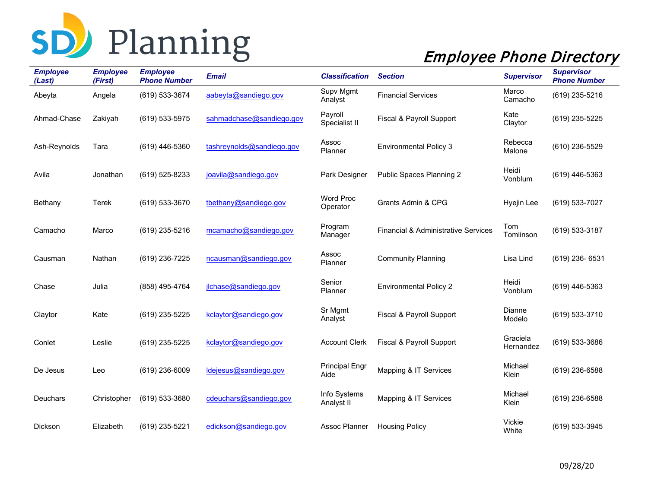

| <b>Employee</b><br>(Last) | <b>Employee</b><br>(First) | <b>Employee</b><br><b>Phone Number</b> | <b>Email</b>              | <b>Classification</b>         | <b>Section</b>                      | <b>Supervisor</b>     | <b>Supervisor</b><br><b>Phone Number</b> |
|---------------------------|----------------------------|----------------------------------------|---------------------------|-------------------------------|-------------------------------------|-----------------------|------------------------------------------|
| Abeyta                    | Angela                     | (619) 533-3674                         | aabeyta@sandiego.gov      | Supv Mgmt<br>Analyst          | <b>Financial Services</b>           | Marco<br>Camacho      | (619) 235-5216                           |
| Ahmad-Chase               | Zakiyah                    | (619) 533-5975                         | sahmadchase@sandiego.gov  | Payroll<br>Specialist II      | Fiscal & Payroll Support            | Kate<br>Claytor       | (619) 235-5225                           |
| Ash-Reynolds              | Tara                       | (619) 446-5360                         | tashreynolds@sandiego.gov | Assoc<br>Planner              | <b>Environmental Policy 3</b>       | Rebecca<br>Malone     | (610) 236-5529                           |
| Avila                     | Jonathan                   | $(619)$ 525-8233                       | joavila@sandiego.gov      | Park Designer                 | Public Spaces Planning 2            | Heidi<br>Vonblum      | (619) 446-5363                           |
| Bethany                   | Terek                      | (619) 533-3670                         | tbethany@sandiego.gov     | <b>Word Proc</b><br>Operator  | Grants Admin & CPG                  | Hyejin Lee            | (619) 533-7027                           |
| Camacho                   | Marco                      | (619) 235-5216                         | mcamacho@sandiego.gov     | Program<br>Manager            | Financial & Administrative Services | Tom<br>Tomlinson      | (619) 533-3187                           |
| Causman                   | Nathan                     | (619) 236-7225                         | ncausman@sandiego.gov     | Assoc<br>Planner              | <b>Community Planning</b>           | Lisa Lind             | (619) 236-6531                           |
| Chase                     | Julia                      | (858) 495-4764                         | jlchase@sandiego.gov      | Senior<br>Planner             | <b>Environmental Policy 2</b>       | Heidi<br>Vonblum      | (619) 446-5363                           |
| Claytor                   | Kate                       | (619) 235-5225                         | kclaytor@sandiego.gov     | Sr Mgmt<br>Analyst            | Fiscal & Payroll Support            | Dianne<br>Modelo      | (619) 533-3710                           |
| Conlet                    | Leslie                     | (619) 235-5225                         | kclaytor@sandiego.gov     | <b>Account Clerk</b>          | Fiscal & Payroll Support            | Graciela<br>Hernandez | (619) 533-3686                           |
| De Jesus                  | Leo                        | $(619)$ 236-6009                       | Idejesus@sandiego.gov     | <b>Principal Engr</b><br>Aide | Mapping & IT Services               | Michael<br>Klein      | (619) 236-6588                           |
| Deuchars                  | Christopher                | (619) 533-3680                         | cdeuchars@sandiego.gov    | Info Systems<br>Analyst II    | Mapping & IT Services               | Michael<br>Klein      | (619) 236-6588                           |
| Dickson                   | Elizabeth                  | (619) 235-5221                         | edickson@sandiego.gov     | Assoc Planner                 | <b>Housing Policy</b>               | Vickie<br>White       | (619) 533-3945                           |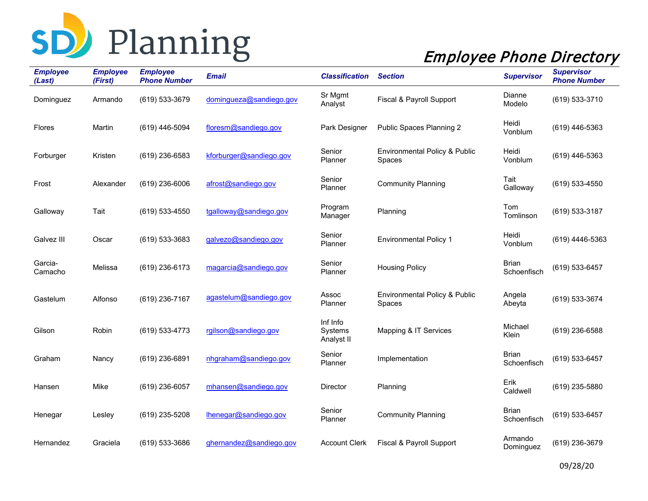

| <b>Employee</b><br>(Last) | <b>Employee</b><br>(First) | <b>Employee</b><br><b>Phone Number</b> | <b>Email</b>            | <b>Classification</b>             | <b>Section</b>                          | <b>Supervisor</b>           | <b>Supervisor</b><br><b>Phone Number</b> |
|---------------------------|----------------------------|----------------------------------------|-------------------------|-----------------------------------|-----------------------------------------|-----------------------------|------------------------------------------|
| Dominguez                 | Armando                    | (619) 533-3679                         | domingueza@sandiego.gov | Sr Mgmt<br>Analyst                | Fiscal & Payroll Support                | Dianne<br>Modelo            | (619) 533-3710                           |
| <b>Flores</b>             | Martin                     | (619) 446-5094                         | floresm@sandiego.gov    | Park Designer                     | Public Spaces Planning 2                | Heidi<br>Vonblum            | (619) 446-5363                           |
| Forburger                 | Kristen                    | (619) 236-6583                         | kforburger@sandiego.gov | Senior<br>Planner                 | Environmental Policy & Public<br>Spaces | Heidi<br>Vonblum            | (619) 446-5363                           |
| Frost                     | Alexander                  | $(619)$ 236-6006                       | afrost@sandiego.gov     | Senior<br>Planner                 | <b>Community Planning</b>               | Tait<br>Galloway            | (619) 533-4550                           |
| Galloway                  | Tait                       | (619) 533-4550                         | tgalloway@sandiego.gov  | Program<br>Manager                | Planning                                | Tom<br>Tomlinson            | (619) 533-3187                           |
| Galvez III                | Oscar                      | (619) 533-3683                         | galvezo@sandiego.gov    | Senior<br>Planner                 | <b>Environmental Policy 1</b>           | Heidi<br>Vonblum            | (619) 4446-5363                          |
| Garcia-<br>Camacho        | Melissa                    | (619) 236-6173                         | magarcia@sandiego.gov   | Senior<br>Planner                 | <b>Housing Policy</b>                   | <b>Brian</b><br>Schoenfisch | (619) 533-6457                           |
| Gastelum                  | Alfonso                    | (619) 236-7167                         | agastelum@sandiego.gov  | Assoc<br>Planner                  | Environmental Policy & Public<br>Spaces | Angela<br>Abeyta            | (619) 533-3674                           |
| Gilson                    | Robin                      | (619) 533-4773                         | rgilson@sandiego.gov    | Inf Info<br>Systems<br>Analyst II | Mapping & IT Services                   | Michael<br>Klein            | (619) 236-6588                           |
| Graham                    | Nancy                      | $(619)$ 236-6891                       | nhgraham@sandiego.gov   | Senior<br>Planner                 | Implementation                          | <b>Brian</b><br>Schoenfisch | (619) 533-6457                           |
| Hansen                    | Mike                       | (619) 236-6057                         | mhansen@sandiego.gov    | <b>Director</b>                   | Planning                                | Erik<br>Caldwell            | (619) 235-5880                           |
| Henegar                   | Lesley                     | (619) 235-5208                         | lhenegar@sandiego.gov   | Senior<br>Planner                 | <b>Community Planning</b>               | <b>Brian</b><br>Schoenfisch | (619) 533-6457                           |
| Hernandez                 | Graciela                   | (619) 533-3686                         | ghernandez@sandiego.gov | <b>Account Clerk</b>              | Fiscal & Payroll Support                | Armando<br>Dominguez        | (619) 236-3679                           |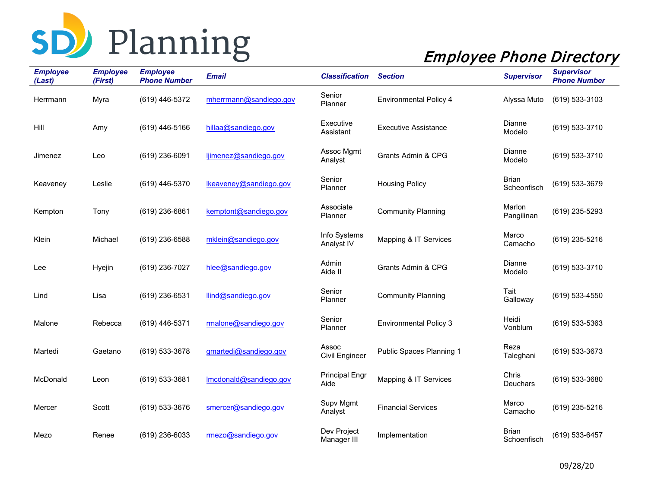

| <b>Employee</b><br>(Last) | <b>Employee</b><br>(First) | <b>Employee</b><br><b>Phone Number</b> | Email                  | <b>Classification</b>         | <b>Section</b>                  | <b>Supervisor</b>           | <b>Supervisor</b><br><b>Phone Number</b> |
|---------------------------|----------------------------|----------------------------------------|------------------------|-------------------------------|---------------------------------|-----------------------------|------------------------------------------|
| Herrmann                  | Myra                       | (619) 446-5372                         | mherrmann@sandiego.gov | Senior<br>Planner             | <b>Environmental Policy 4</b>   | Alyssa Muto                 | (619) 533-3103                           |
| Hill                      | Amy                        | $(619)$ 446-5166                       | hillaa@sandiego.gov    | Executive<br>Assistant        | <b>Executive Assistance</b>     | Dianne<br>Modelo            | (619) 533-3710                           |
| Jimenez                   | Leo                        | (619) 236-6091                         | ljimenez@sandiego.gov  | Assoc Mgmt<br>Analyst         | Grants Admin & CPG              | Dianne<br>Modelo            | (619) 533-3710                           |
| Keaveney                  | Leslie                     | (619) 446-5370                         | lkeaveney@sandiego.gov | Senior<br>Planner             | <b>Housing Policy</b>           | <b>Brian</b><br>Scheonfisch | (619) 533-3679                           |
| Kempton                   | Tony                       | (619) 236-6861                         | kemptont@sandiego.gov  | Associate<br>Planner          | <b>Community Planning</b>       | Marlon<br>Pangilinan        | (619) 235-5293                           |
| Klein                     | Michael                    | (619) 236-6588                         | mklein@sandiego.gov    | Info Systems<br>Analyst IV    | Mapping & IT Services           | Marco<br>Camacho            | (619) 235-5216                           |
| Lee                       | Hyejin                     | (619) 236-7027                         | hlee@sandiego.gov      | Admin<br>Aide II              | Grants Admin & CPG              | Dianne<br>Modelo            | (619) 533-3710                           |
| Lind                      | Lisa                       | (619) 236-6531                         | llind@sandiego.gov     | Senior<br>Planner             | <b>Community Planning</b>       | Tait<br>Galloway            | (619) 533-4550                           |
| Malone                    | Rebecca                    | (619) 446-5371                         | rmalone@sandiego.gov   | Senior<br>Planner             | <b>Environmental Policy 3</b>   | Heidi<br>Vonblum            | (619) 533-5363                           |
| Martedi                   | Gaetano                    | (619) 533-3678                         | gmartedi@sandiego.gov  | Assoc<br>Civil Engineer       | <b>Public Spaces Planning 1</b> | Reza<br>Taleghani           | (619) 533-3673                           |
| McDonald                  | Leon                       | $(619)$ 533-3681                       | Imcdonald@sandiego.gov | <b>Principal Engr</b><br>Aide | Mapping & IT Services           | Chris<br>Deuchars           | (619) 533-3680                           |
| Mercer                    | Scott                      | (619) 533-3676                         | smercer@sandiego.gov   | Supv Mgmt<br>Analyst          | <b>Financial Services</b>       | Marco<br>Camacho            | (619) 235-5216                           |
| Mezo                      | Renee                      | (619) 236-6033                         | rmezo@sandiego.gov     | Dev Project<br>Manager III    | Implementation                  | <b>Brian</b><br>Schoenfisch | (619) 533-6457                           |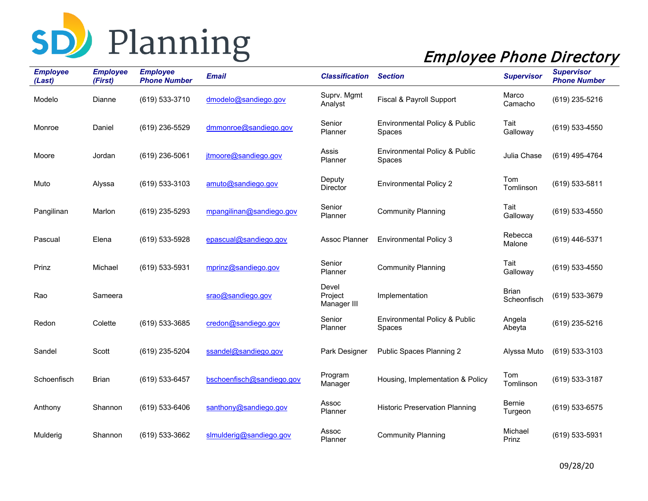

| <b>Employee</b><br>(Last) | <b>Employee</b><br>(First) | <b>Employee</b><br><b>Phone Number</b> | <b>Email</b>              | <b>Classification</b>           | <b>Section</b>                                            | <b>Supervisor</b>           | <b>Supervisor</b><br><b>Phone Number</b> |
|---------------------------|----------------------------|----------------------------------------|---------------------------|---------------------------------|-----------------------------------------------------------|-----------------------------|------------------------------------------|
| Modelo                    | Dianne                     | (619) 533-3710                         | dmodelo@sandiego.gov      | Suprv. Mgmt<br>Analyst          | Fiscal & Payroll Support                                  | Marco<br>Camacho            | (619) 235-5216                           |
| Monroe                    | Daniel                     | (619) 236-5529                         | dmmonroe@sandiego.gov     | Senior<br>Planner               | <b>Environmental Policy &amp; Public</b><br><b>Spaces</b> | Tait<br>Galloway            | (619) 533-4550                           |
| Moore                     | Jordan                     | (619) 236-5061                         | jtmoore@sandiego.gov      | Assis<br>Planner                | Environmental Policy & Public<br>Spaces                   | Julia Chase                 | (619) 495-4764                           |
| Muto                      | Alyssa                     | (619) 533-3103                         | amuto@sandiego.gov        | Deputy<br>Director              | <b>Environmental Policy 2</b>                             | Tom<br>Tomlinson            | (619) 533-5811                           |
| Pangilinan                | Marlon                     | (619) 235-5293                         | mpangilinan@sandiego.gov  | Senior<br>Planner               | <b>Community Planning</b>                                 | Tait<br>Galloway            | (619) 533-4550                           |
| Pascual                   | Elena                      | (619) 533-5928                         | epascual@sandiego.gov     | Assoc Planner                   | <b>Environmental Policy 3</b>                             | Rebecca<br>Malone           | (619) 446-5371                           |
| Prinz                     | Michael                    | (619) 533-5931                         | mprinz@sandiego.gov       | Senior<br>Planner               | <b>Community Planning</b>                                 | Tait<br>Galloway            | (619) 533-4550                           |
| Rao                       | Sameera                    |                                        | srao@sandiego.gov         | Devel<br>Project<br>Manager III | Implementation                                            | <b>Brian</b><br>Scheonfisch | (619) 533-3679                           |
| Redon                     | Colette                    | (619) 533-3685                         | credon@sandiego.gov       | Senior<br>Planner               | <b>Environmental Policy &amp; Public</b><br>Spaces        | Angela<br>Abeyta            | (619) 235-5216                           |
| Sandel                    | Scott                      | (619) 235-5204                         | ssandel@sandiego.gov      | Park Designer                   | Public Spaces Planning 2                                  | Alyssa Muto                 | (619) 533-3103                           |
| Schoenfisch               | Brian                      | (619) 533-6457                         | bschoenfisch@sandiego.gov | Program<br>Manager              | Housing, Implementation & Policy                          | Tom<br>Tomlinson            | (619) 533-3187                           |
| Anthony                   | Shannon                    | (619) 533-6406                         | santhony@sandiego.gov     | Assoc<br>Planner                | <b>Historic Preservation Planning</b>                     | Bernie<br>Turgeon           | (619) 533-6575                           |
| Mulderig                  | Shannon                    | (619) 533-3662                         | slmulderig@sandiego.gov   | Assoc<br>Planner                | <b>Community Planning</b>                                 | Michael<br>Prinz            | (619) 533-5931                           |